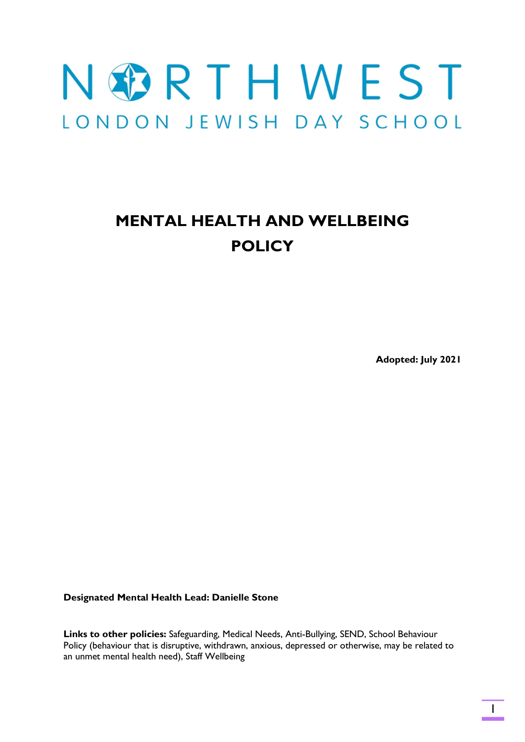# NGRTHWEST LONDON JEWISH DAY SCHOOL

# MENTAL HEALTH AND WELLBEING POLICY

Adopted: July 2021

Designated Mental Health Lead: Danielle Stone

Links to other policies: Safeguarding, Medical Needs, Anti-Bullying, SEND, School Behaviour Policy (behaviour that is disruptive, withdrawn, anxious, depressed or otherwise, may be related to an unmet mental health need), Staff Wellbeing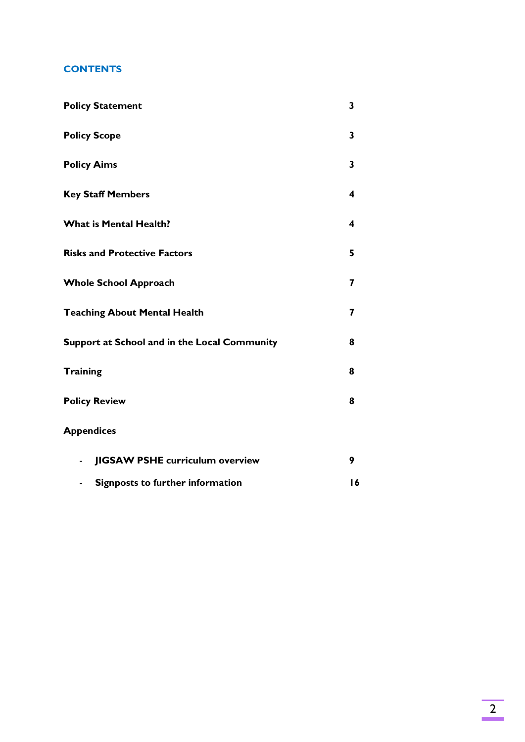### **CONTENTS**

| <b>Policy Statement</b>                                  | 3 |
|----------------------------------------------------------|---|
| <b>Policy Scope</b>                                      | 3 |
| <b>Policy Aims</b>                                       | 3 |
| <b>Key Staff Members</b>                                 | 4 |
| <b>What is Mental Health?</b>                            | 4 |
| <b>Risks and Protective Factors</b>                      | 5 |
| <b>Whole School Approach</b>                             | 7 |
| <b>Teaching About Mental Health</b>                      | 7 |
| Support at School and in the Local Community             | 8 |
| <b>Training</b>                                          | 8 |
| <b>Policy Review</b>                                     | 8 |
| <b>Appendices</b>                                        |   |
| <b>JIGSAW PSHE curriculum overview</b><br>$\blacksquare$ | 9 |

- Signposts to further information 16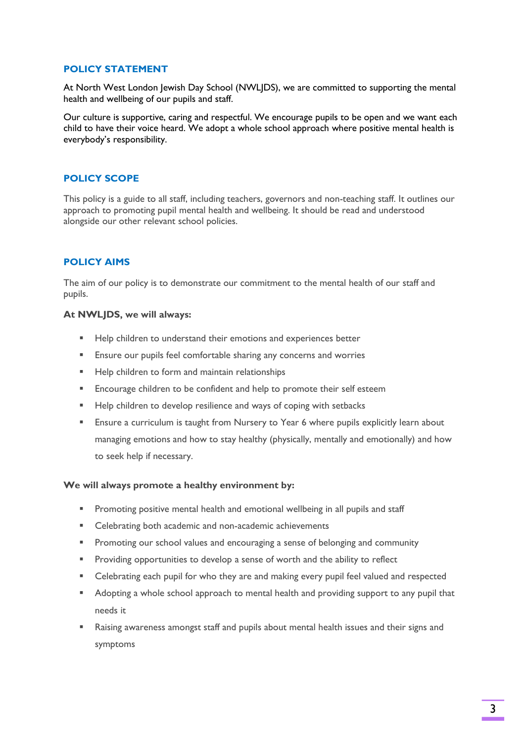#### POLICY STATEMENT

At North West London Jewish Day School (NWLJDS), we are committed to supporting the mental health and wellbeing of our pupils and staff.

Our culture is supportive, caring and respectful. We encourage pupils to be open and we want each child to have their voice heard. We adopt a whole school approach where positive mental health is everybody's responsibility.

#### POLICY SCOPE

This policy is a guide to all staff, including teachers, governors and non-teaching staff. It outlines our approach to promoting pupil mental health and wellbeing. It should be read and understood alongside our other relevant school policies.

#### POLICY AIMS

The aim of our policy is to demonstrate our commitment to the mental health of our staff and pupils.

#### At NWLJDS, we will always:

- Help children to understand their emotions and experiences better
- **Ensure our pupils feel comfortable sharing any concerns and worries**
- Help children to form and maintain relationships
- **Encourage children to be confident and help to promote their self esteem**
- Help children to develop resilience and ways of coping with setbacks
- Ensure a curriculum is taught from Nursery to Year 6 where pupils explicitly learn about managing emotions and how to stay healthy (physically, mentally and emotionally) and how to seek help if necessary.

#### We will always promote a healthy environment by:

- **Promoting positive mental health and emotional wellbeing in all pupils and staff**
- **EXEC** Celebrating both academic and non-academic achievements
- **Promoting our school values and encouraging a sense of belonging and community**
- **Providing opportunities to develop a sense of worth and the ability to reflect**
- Celebrating each pupil for who they are and making every pupil feel valued and respected
- Adopting a whole school approach to mental health and providing support to any pupil that needs it
- Raising awareness amongst staff and pupils about mental health issues and their signs and symptoms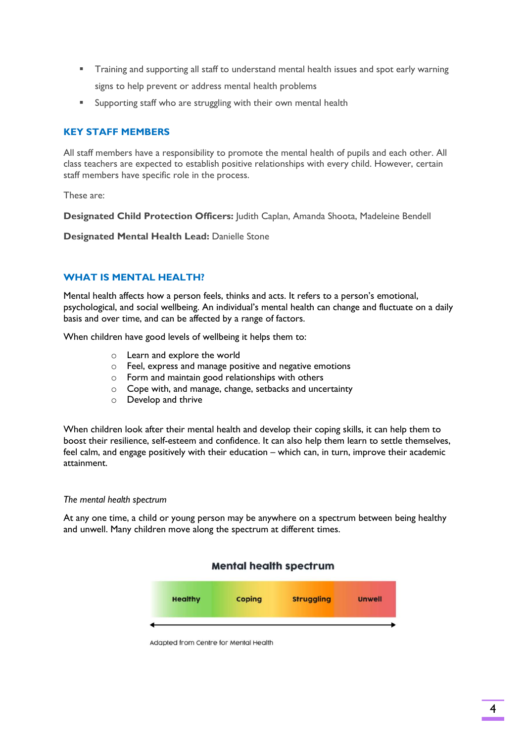- Training and supporting all staff to understand mental health issues and spot early warning signs to help prevent or address mental health problems
- Supporting staff who are struggling with their own mental health

#### KEY STAFF MEMBERS

All staff members have a responsibility to promote the mental health of pupils and each other. All class teachers are expected to establish positive relationships with every child. However, certain staff members have specific role in the process.

These are:

Designated Child Protection Officers: Judith Caplan, Amanda Shoota, Madeleine Bendell

Designated Mental Health Lead: Danielle Stone

#### WHAT IS MENTAL HEALTH?

Mental health affects how a person feels, thinks and acts. It refers to a person's emotional, psychological, and social wellbeing. An individual's mental health can change and fluctuate on a daily basis and over time, and can be affected by a range of factors.

When children have good levels of wellbeing it helps them to:

- o Learn and explore the world
- o Feel, express and manage positive and negative emotions
- o Form and maintain good relationships with others
- o Cope with, and manage, change, setbacks and uncertainty
- o Develop and thrive

When children look after their mental health and develop their coping skills, it can help them to boost their resilience, self-esteem and confidence. It can also help them learn to settle themselves, feel calm, and engage positively with their education – which can, in turn, improve their academic attainment.

#### The mental health spectrum

At any one time, a child or young person may be anywhere on a spectrum between being healthy and unwell. Many children move along the spectrum at different times.

#### **Mental health spectrum**



Adapted from Centre for Mental Health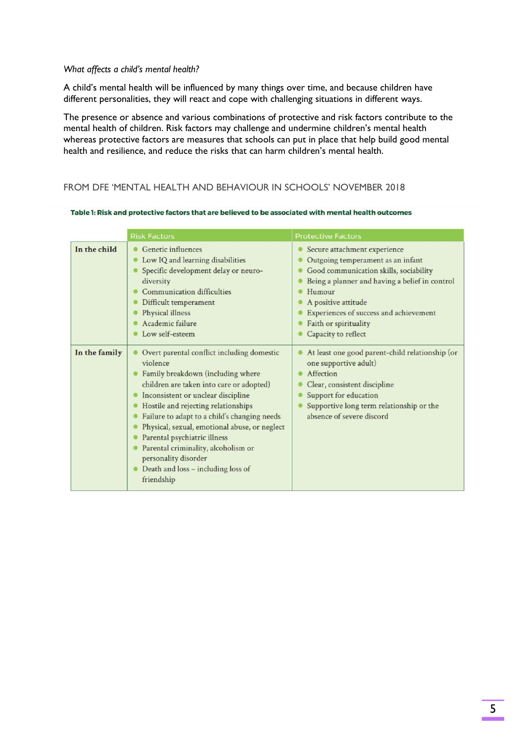#### What affects a child's mental health?

A child's mental health will be influenced by many things over time, and because children have different personalities, they will react and cope with challenging situations in different ways.

The presence or absence and various combinations of protective and risk factors contribute to the mental health of children. Risk factors may challenge and undermine children's mental health whereas protective factors are measures that schools can put in place that help build good mental health and resilience, and reduce the risks that can harm children's mental health.

#### FROM DFE 'MENTAL HEALTH AND BEHAVIOUR IN SCHOOLS' NOVEMBER 2018

|               | <b>Risk Factors</b>                                                                                                                                                                                                                                                                                                                                                                                                                                                                     | <b>Protective Factors</b>                                                                                                                                                                                                                                                                |
|---------------|-----------------------------------------------------------------------------------------------------------------------------------------------------------------------------------------------------------------------------------------------------------------------------------------------------------------------------------------------------------------------------------------------------------------------------------------------------------------------------------------|------------------------------------------------------------------------------------------------------------------------------------------------------------------------------------------------------------------------------------------------------------------------------------------|
| In the child  | Genetic influences<br>Low IQ and learning disabilities<br>Specific development delay or neuro-<br>diversity<br>Communication difficulties<br>Difficult temperament<br>Physical illness<br>Academic failure<br>Low self-esteem                                                                                                                                                                                                                                                           | Secure attachment experience<br>Outgoing temperament as an infant<br>Good communication skills, sociability<br>Being a planner and having a belief in control<br>Humour<br>A positive attitude<br>Experiences of success and achievement<br>Faith or spirituality<br>Capacity to reflect |
| In the family | Overt parental conflict including domestic<br>violence<br>Family breakdown (including where<br>children are taken into care or adopted)<br>Inconsistent or unclear discipline<br>٠<br>Hostile and rejecting relationships<br>Failure to adapt to a child's changing needs<br>۰<br>Physical, sexual, emotional abuse, or neglect<br>Parental psychiatric illness<br>۰<br>Parental criminality, alcoholism or<br>personality disorder<br>Death and loss - including loss of<br>friendship | At least one good parent-child relationship (or<br>one supportive adult)<br>Affection<br>Clear, consistent discipline<br>Support for education<br>Supportive long term relationship or the<br>absence of severe discord                                                                  |

#### Table 1: Risk and protective factors that are believed to be associated with mental health outcomes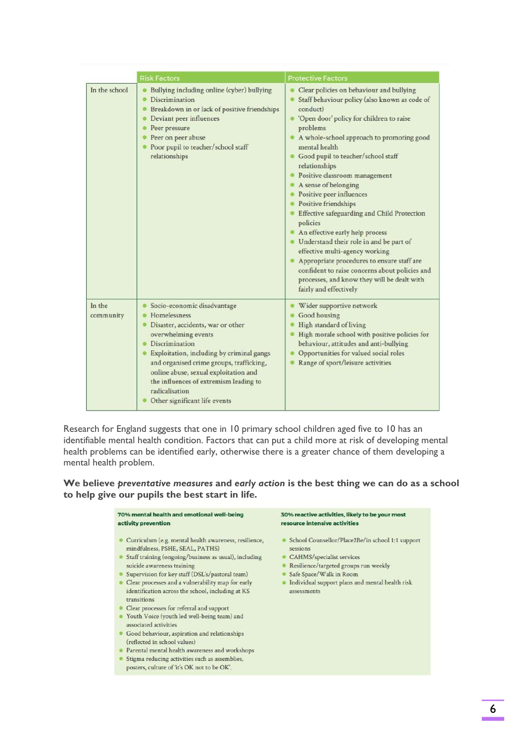|                     | <b>Risk Factors</b>                                                                                                                                                                                                                                                                                                                                      | <b>Protective Factors</b>                                                                                                                                                                                                                                                                                                                                                                                                                                                                                                                                                                                                                                                                                                                               |
|---------------------|----------------------------------------------------------------------------------------------------------------------------------------------------------------------------------------------------------------------------------------------------------------------------------------------------------------------------------------------------------|---------------------------------------------------------------------------------------------------------------------------------------------------------------------------------------------------------------------------------------------------------------------------------------------------------------------------------------------------------------------------------------------------------------------------------------------------------------------------------------------------------------------------------------------------------------------------------------------------------------------------------------------------------------------------------------------------------------------------------------------------------|
| In the school       | Bullying including online (cyber) bullying<br>Discrimination<br>Breakdown in or lack of positive friendships<br>Deviant peer influences<br>Peer pressure<br>Peer on peer abuse<br>Poor pupil to teacher/school staff<br>relationships                                                                                                                    | Clear policies on behaviour and bullying<br>Staff behaviour policy (also known as code of<br>conduct)<br>• 'Open door' policy for children to raise<br>problems<br>A whole-school approach to promoting good<br>mental health<br>Good pupil to teacher/school staff<br>relationships<br>Positive classroom management<br>A sense of belonging<br>Positive peer influences<br>Positive friendships<br>Effective safeguarding and Child Protection<br>policies<br>An effective early help process<br>· Understand their role in and be part of<br>effective multi-agency working<br>Appropriate procedures to ensure staff are<br>confident to raise concerns about policies and<br>processes, and know they will be dealt with<br>fairly and effectively |
| In the<br>community | Socio-economic disadvantage<br>Homelessness<br>Disaster, accidents, war or other<br>overwhelming events<br>Discrimination<br>Exploitation, including by criminal gangs<br>and organised crime groups, trafficking,<br>online abuse, sexual exploitation and<br>the influences of extremism leading to<br>radicalisation<br>Other significant life events | Wider supportive network<br>Good housing<br>High standard of living<br>High morale school with positive policies for<br>behaviour, attitudes and anti-bullying<br>Opportunities for valued social roles<br>Range of sport/leisure activities                                                                                                                                                                                                                                                                                                                                                                                                                                                                                                            |

Research for England suggests that one in 10 primary school children aged five to 10 has an identifiable mental health condition. Factors that can put a child more at risk of developing mental health problems can be identified early, otherwise there is a greater chance of them developing a mental health problem.

#### We believe preventative measures and early action is the best thing we can do as a school to help give our pupils the best start in life.

#### 70% mental health and emotional well-being activity prevention

- · Curriculum (e.g. mental health awareness, resilience, mindfulness, PSHE, SEAL, PATHS)
- Staff training (ongoing/business as usual), including suicide awareness training
- · Supervision for key staff (DSL's/pastoral team)
- · Clear processes and a vulnerability map for early identification across the school, including at KS transitions
- Clear processes for referral and support
- Youth Voice (youth led well-being team) and associated activities
- · Good behaviour, aspiration and relationships (reflected in school values)
- Parental mental health awareness and workshops
- Stigma reducing activities such as assemblies, posters, culture of 'it's OK not to be OK'.

#### 30% reactive activities, likely to be your most resource intensive activities

- School Counsellor/Place2Be/in school 1:1 support sessions
- CAHMS/specialist services
- Resilience/targeted groups run weekly
- Safe Space/Walk in Room
- · Individual support plans and mental health risk assessments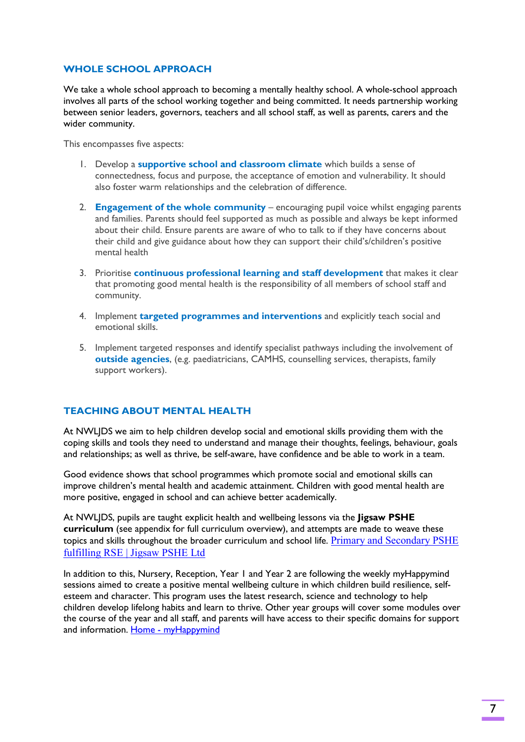#### WHOLE SCHOOL APPROACH

We take a whole school approach to becoming a mentally healthy school. A whole-school approach involves all parts of the school working together and being committed. It needs partnership working between senior leaders, governors, teachers and all school staff, as well as parents, carers and the wider community.

This encompasses five aspects:

- 1. Develop a supportive school and classroom climate which builds a sense of connectedness, focus and purpose, the acceptance of emotion and vulnerability. It should also foster warm relationships and the celebration of difference.
- 2. **Engagement of the whole community** encouraging pupil voice whilst engaging parents and families. Parents should feel supported as much as possible and always be kept informed about their child. Ensure parents are aware of who to talk to if they have concerns about their child and give guidance about how they can support their child's/children's positive mental health
- 3. Prioritise continuous professional learning and staff development that makes it clear that promoting good mental health is the responsibility of all members of school staff and community.
- 4. Implement **targeted programmes and interventions** and explicitly teach social and emotional skills.
- 5. Implement targeted responses and identify specialist pathways including the involvement of outside agencies, (e.g. paediatricians, CAMHS, counselling services, therapists, family support workers).

#### TEACHING ABOUT MENTAL HEALTH

At NWLJDS we aim to help children develop social and emotional skills providing them with the coping skills and tools they need to understand and manage their thoughts, feelings, behaviour, goals and relationships; as well as thrive, be self-aware, have confidence and be able to work in a team.

Good evidence shows that school programmes which promote social and emotional skills can improve children's mental health and academic attainment. Children with good mental health are more positive, engaged in school and can achieve better academically.

At NWLIDS, pupils are taught explicit health and wellbeing lessons via the Jigsaw PSHE curriculum (see appendix for full curriculum overview), and attempts are made to weave these topics and skills throughout the broader curriculum and school life. Primary and Secondary PSHE fulfilling RSE | Jigsaw PSHE Ltd

In addition to this, Nursery, Reception, Year 1 and Year 2 are following the weekly myHappymind sessions aimed to create a positive mental wellbeing culture in which children build resilience, selfesteem and character. This program uses the latest research, science and technology to help children develop lifelong habits and learn to thrive. Other year groups will cover some modules over the course of the year and all staff, and parents will have access to their specific domains for support and information. Home - myHappymind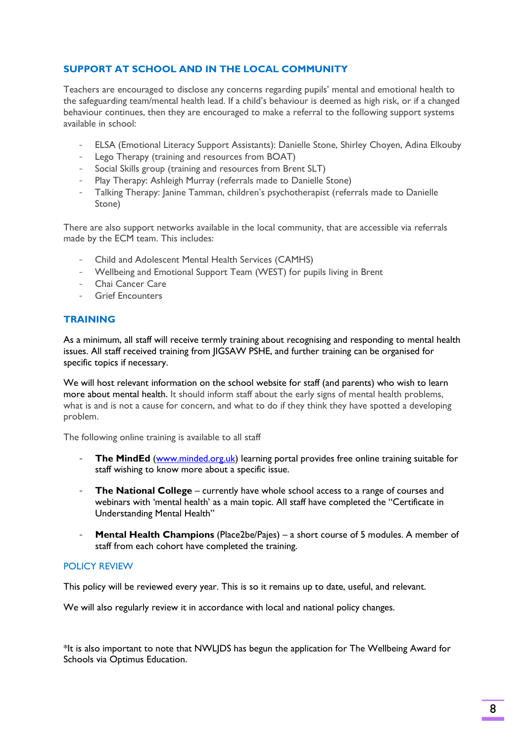## SUPPORT AT SCHOOL AND IN THE LOCAL COMMUNITY

Teachers are encouraged to disclose any concerns regarding pupils' mental and emotional health to the safeguarding team/mental health lead. If a child's behaviour is deemed as high risk, or if a changed behaviour continues, then they are encouraged to make a referral to the following support systems available in school:

- ELSA (Emotional Literacy Support Assistants): Danielle Stone, Shirley Choyen, Adina Elkouby
- Lego Therapy (training and resources from BOAT)
- Social Skills group (training and resources from Brent SLT)
- Play Therapy: Ashleigh Murray (referrals made to Danielle Stone)
- Talking Therapy: Janine Tamman, children's psychotherapist (referrals made to Danielle Stone)

There are also support networks available in the local community, that are accessible via referrals made by the ECM team. This includes:

- Child and Adolescent Mental Health Services (CAMHS)
- Wellbeing and Emotional Support Team (WEST) for pupils living in Brent
- Chai Cancer Care
- Grief Encounters

#### **TRAINING**

As a minimum, all staff will receive termly training about recognising and responding to mental health issues. All staff received training from JIGSAW PSHE, and further training can be organised for specific topics if necessary.

We will host relevant information on the school website for staff (and parents) who wish to learn more about mental health. It should inform staff about the early signs of mental health problems, what is and is not a cause for concern, and what to do if they think they have spotted a developing problem.

The following online training is available to all staff

- The MindEd (www.minded.org.uk) learning portal provides free online training suitable for staff wishing to know more about a specific issue.
- The National College currently have whole school access to a range of courses and webinars with 'mental health' as a main topic. All staff have completed the "Certificate in Understanding Mental Health"
- Mental Health Champions (Place2be/Pajes) a short course of 5 modules. A member of staff from each cohort have completed the training.

#### POLICY REVIEW

This policy will be reviewed every year. This is so it remains up to date, useful, and relevant.

We will also regularly review it in accordance with local and national policy changes.

\*It is also important to note that NWLJDS has begun the application for The Wellbeing Award for Schools via Optimus Education.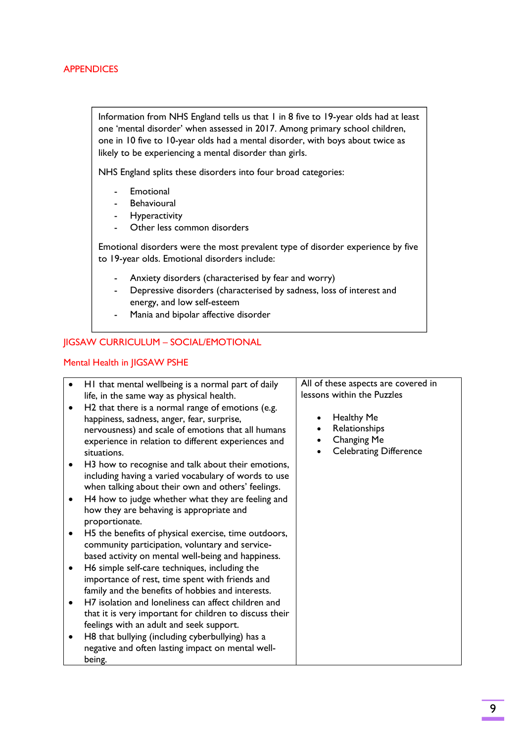#### **APPENDICES**

Information from NHS England tells us that 1 in 8 five to 19-year olds had at least one 'mental disorder' when assessed in 2017. Among primary school children, one in 10 five to 10-year olds had a mental disorder, with boys about twice as likely to be experiencing a mental disorder than girls.

NHS England splits these disorders into four broad categories:

- **Emotional**
- **Behavioural**
- **Hyperactivity**
- Other less common disorders

Emotional disorders were the most prevalent type of disorder experience by five to 19-year olds. Emotional disorders include:

- Anxiety disorders (characterised by fear and worry)
- Depressive disorders (characterised by sadness, loss of interest and energy, and low self-esteem
- Mania and bipolar affective disorder

#### JIGSAW CURRICULUM – SOCIAL/EMOTIONAL

#### Mental Health in JIGSAW PSHE

| $\bullet$<br>٠<br>٠<br>$\bullet$ | HI that mental wellbeing is a normal part of daily<br>life, in the same way as physical health.<br>H2 that there is a normal range of emotions (e.g.<br>happiness, sadness, anger, fear, surprise,<br>nervousness) and scale of emotions that all humans<br>experience in relation to different experiences and<br>situations.<br>H <sub>3</sub> how to recognise and talk about their emotions,<br>including having a varied vocabulary of words to use<br>when talking about their own and others' feelings.<br>H4 how to judge whether what they are feeling and<br>how they are behaving is appropriate and           | All of these aspects are covered in<br>lessons within the Puzzles<br><b>Healthy Me</b><br>Relationships<br>Changing Me<br><b>Celebrating Difference</b> |
|----------------------------------|---------------------------------------------------------------------------------------------------------------------------------------------------------------------------------------------------------------------------------------------------------------------------------------------------------------------------------------------------------------------------------------------------------------------------------------------------------------------------------------------------------------------------------------------------------------------------------------------------------------------------|---------------------------------------------------------------------------------------------------------------------------------------------------------|
| $\bullet$<br>٠<br>٠<br>$\bullet$ | proportionate.<br>H5 the benefits of physical exercise, time outdoors,<br>community participation, voluntary and service-<br>based activity on mental well-being and happiness.<br>H6 simple self-care techniques, including the<br>importance of rest, time spent with friends and<br>family and the benefits of hobbies and interests.<br>H7 isolation and loneliness can affect children and<br>that it is very important for children to discuss their<br>feelings with an adult and seek support.<br>H8 that bullying (including cyberbullying) has a<br>negative and often lasting impact on mental well-<br>being. |                                                                                                                                                         |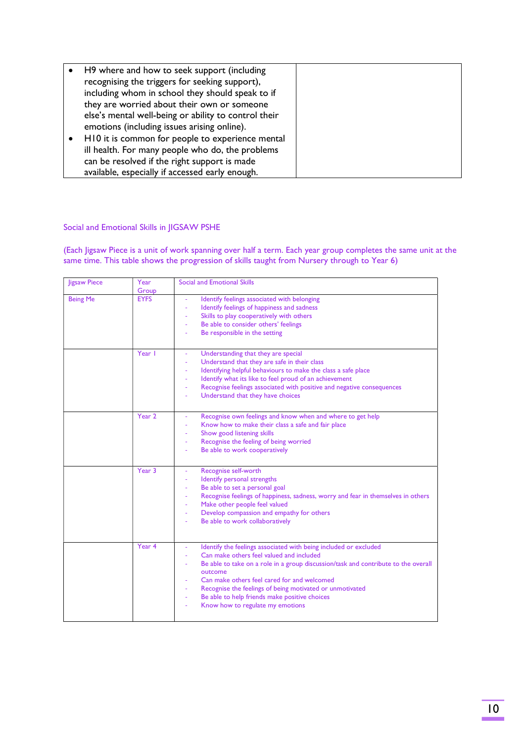| H9 where and how to seek support (including<br>recognising the triggers for seeking support),<br>including whom in school they should speak to if |  |
|---------------------------------------------------------------------------------------------------------------------------------------------------|--|
| they are worried about their own or someone                                                                                                       |  |
| else's mental well-being or ability to control their                                                                                              |  |
| emotions (including issues arising online).                                                                                                       |  |
| H10 it is common for people to experience mental                                                                                                  |  |
| ill health. For many people who do, the problems                                                                                                  |  |
| can be resolved if the right support is made                                                                                                      |  |
| available, especially if accessed early enough.                                                                                                   |  |

#### Social and Emotional Skills in JIGSAW PSHE

(Each Jigsaw Piece is a unit of work spanning over half a term. Each year group completes the same unit at the same time. This table shows the progression of skills taught from Nursery through to Year 6)

| <b>ligsaw Piece</b> | Year<br>Group | Social and Emotional Skills                                                                                                                                                                                                                                                                                                                                                                                   |
|---------------------|---------------|---------------------------------------------------------------------------------------------------------------------------------------------------------------------------------------------------------------------------------------------------------------------------------------------------------------------------------------------------------------------------------------------------------------|
| <b>Being Me</b>     | <b>EYFS</b>   | Identify feelings associated with belonging<br>$\bar{\phantom{a}}$<br>Identify feelings of happiness and sadness<br>Skills to play cooperatively with others<br>Be able to consider others' feelings<br>Be responsible in the setting<br>٠                                                                                                                                                                    |
|                     | Year I        | Understanding that they are special<br>Understand that they are safe in their class<br>Identifying helpful behaviours to make the class a safe place<br>Identify what its like to feel proud of an achievement<br>Recognise feelings associated with positive and negative consequences<br>$\overline{\phantom{a}}$<br>Understand that they have choices                                                      |
|                     | Year 2        | Recognise own feelings and know when and where to get help<br>Know how to make their class a safe and fair place<br>Show good listening skills<br>Recognise the feeling of being worried<br>$\sim$<br>Be able to work cooperatively                                                                                                                                                                           |
|                     | Year 3        | Recognise self-worth<br>Identify personal strengths<br>Be able to set a personal goal<br>Recognise feelings of happiness, sadness, worry and fear in themselves in others<br>Make other people feel valued<br>Develop compassion and empathy for others<br>$\blacksquare$<br>Be able to work collaboratively<br>$\sim$                                                                                        |
|                     | Year 4        | Identify the feelings associated with being included or excluded<br>Can make others feel valued and included<br>Be able to take on a role in a group discussion/task and contribute to the overall<br>outcome<br>Can make others feel cared for and welcomed<br>Recognise the feelings of being motivated or unmotivated<br>Be able to help friends make positive choices<br>Know how to regulate my emotions |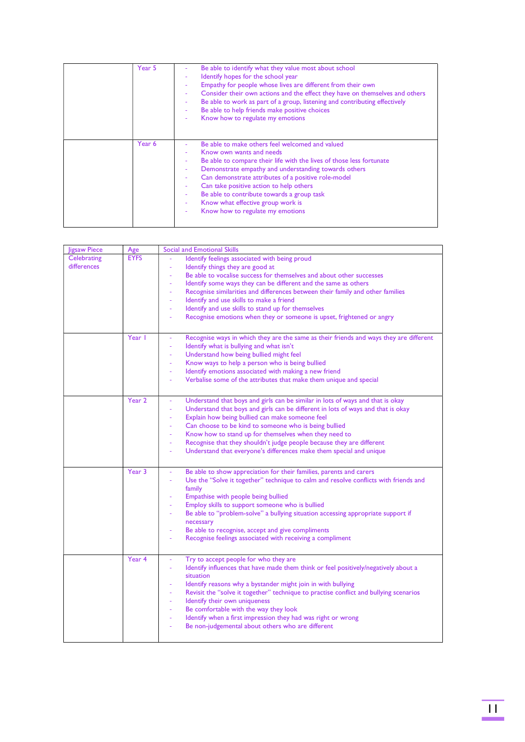| Year 5 | Be able to identify what they value most about school<br>Identify hopes for the school year<br>Empathy for people whose lives are different from their own<br>Consider their own actions and the effect they have on themselves and others<br>Be able to work as part of a group, listening and contributing effectively<br>Be able to help friends make positive choices<br>Know how to regulate my emotions                        |
|--------|--------------------------------------------------------------------------------------------------------------------------------------------------------------------------------------------------------------------------------------------------------------------------------------------------------------------------------------------------------------------------------------------------------------------------------------|
| Year 6 | Be able to make others feel welcomed and valued<br>Know own wants and needs<br>Be able to compare their life with the lives of those less fortunate<br>Demonstrate empathy and understanding towards others<br>Can demonstrate attributes of a positive role-model<br>Can take positive action to help others<br>Be able to contribute towards a group task<br>Know what effective group work is<br>Know how to regulate my emotions |

| <b>Jigsaw Piece</b> | Age         | <b>Social and Emotional Skills</b>                                                                                |
|---------------------|-------------|-------------------------------------------------------------------------------------------------------------------|
| Celebrating         | <b>EYFS</b> | Identify feelings associated with being proud                                                                     |
| differences         |             | Identify things they are good at<br>$\bar{a}$                                                                     |
|                     |             | Be able to vocalise success for themselves and about other successes                                              |
|                     |             | Identify some ways they can be different and the same as others                                                   |
|                     |             | Recognise similarities and differences between their family and other families<br>$\bar{a}$                       |
|                     |             | Identify and use skills to make a friend<br>÷.                                                                    |
|                     |             | Identify and use skills to stand up for themselves<br>$\overline{\phantom{a}}$                                    |
|                     |             | Recognise emotions when they or someone is upset, frightened or angry                                             |
|                     |             |                                                                                                                   |
|                     | Year I      | Recognise ways in which they are the same as their friends and ways they are different                            |
|                     |             | Identify what is bullying and what isn't<br>$\blacksquare$                                                        |
|                     |             | Understand how being bullied might feel                                                                           |
|                     |             | Know ways to help a person who is being bullied<br>$\overline{\phantom{a}}$                                       |
|                     |             | Identify emotions associated with making a new friend                                                             |
|                     |             | Verbalise some of the attributes that make them unique and special                                                |
|                     |             |                                                                                                                   |
|                     | Year 2      | Understand that boys and girls can be similar in lots of ways and that is okay                                    |
|                     |             | Understand that boys and girls can be different in lots of ways and that is okay<br>$\omega$                      |
|                     |             | Explain how being bullied can make someone feel<br>÷                                                              |
|                     |             | Can choose to be kind to someone who is being bullied                                                             |
|                     |             | Know how to stand up for themselves when they need to                                                             |
|                     |             | Recognise that they shouldn't judge people because they are different<br>$\omega$                                 |
|                     |             | Understand that everyone's differences make them special and unique                                               |
|                     |             |                                                                                                                   |
|                     | Year 3      | Be able to show appreciation for their families, parents and carers                                               |
|                     |             | Use the "Solve it together" technique to calm and resolve conflicts with friends and<br>$\Box$                    |
|                     |             | family                                                                                                            |
|                     |             | Empathise with people being bullied                                                                               |
|                     |             | Employ skills to support someone who is bullied                                                                   |
|                     |             | Be able to "problem-solve" a bullying situation accessing appropriate support if                                  |
|                     |             | necessary                                                                                                         |
|                     |             | Be able to recognise, accept and give compliments                                                                 |
|                     |             | Recognise feelings associated with receiving a compliment<br>$\overline{\phantom{a}}$                             |
|                     |             |                                                                                                                   |
|                     | Year 4      | Try to accept people for who they are                                                                             |
|                     |             | Identify influences that have made them think or feel positively/negatively about a                               |
|                     |             | situation                                                                                                         |
|                     |             | Identify reasons why a bystander might join in with bullying                                                      |
|                     |             | Revisit the "solve it together" technique to practise conflict and bullying scenarios<br>$\overline{\phantom{a}}$ |
|                     |             | Identify their own uniqueness<br>$\blacksquare$                                                                   |
|                     |             | Be comfortable with the way they look<br>$\overline{\phantom{a}}$                                                 |
|                     |             | Identify when a first impression they had was right or wrong<br>$\blacksquare$                                    |
|                     |             | Be non-judgemental about others who are different                                                                 |
|                     |             |                                                                                                                   |
|                     |             |                                                                                                                   |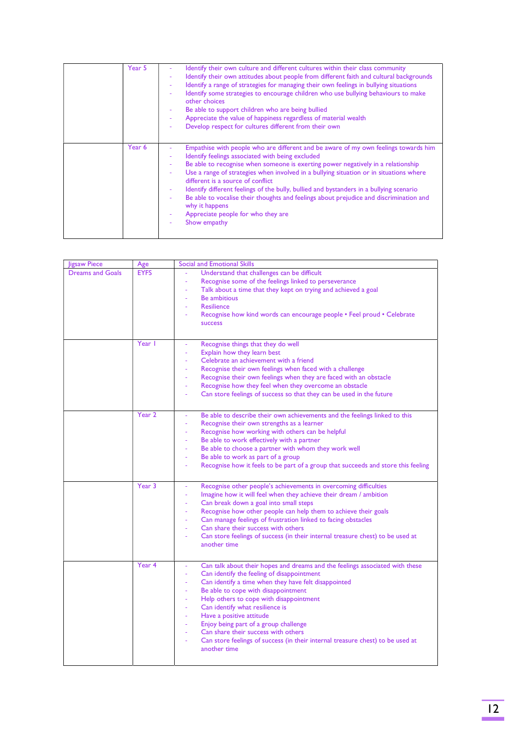| Year 5 | Identify their own culture and different cultures within their class community<br>Identify their own attitudes about people from different faith and cultural backgrounds<br>Identify a range of strategies for managing their own feelings in bullying situations<br>Identify some strategies to encourage children who use bullying behaviours to make<br>other choices<br>Be able to support children who are being bullied<br>Appreciate the value of happiness regardless of material wealth<br>Develop respect for cultures different from their own                                                               |
|--------|--------------------------------------------------------------------------------------------------------------------------------------------------------------------------------------------------------------------------------------------------------------------------------------------------------------------------------------------------------------------------------------------------------------------------------------------------------------------------------------------------------------------------------------------------------------------------------------------------------------------------|
| Year 6 | Empathise with people who are different and be aware of my own feelings towards him<br>Identify feelings associated with being excluded<br>Be able to recognise when someone is exerting power negatively in a relationship<br>Use a range of strategies when involved in a bullying situation or in situations where<br>different is a source of conflict.<br>Identify different feelings of the bully, bullied and bystanders in a bullying scenario<br>Be able to vocalise their thoughts and feelings about prejudice and discrimination and<br>why it happens<br>Appreciate people for who they are<br>Show empathy |

| <b>Jigsaw Piece</b>     | Age         | <b>Social and Emotional Skills</b>                                                   |
|-------------------------|-------------|--------------------------------------------------------------------------------------|
| <b>Dreams and Goals</b> | <b>EYFS</b> | Understand that challenges can be difficult                                          |
|                         |             | Recognise some of the feelings linked to perseverance                                |
|                         |             | Talk about a time that they kept on trying and achieved a goal                       |
|                         |             | <b>Be ambitious</b>                                                                  |
|                         |             | <b>Resilience</b>                                                                    |
|                         |             | Recognise how kind words can encourage people • Feel proud • Celebrate               |
|                         |             | <b>SUCCESS</b>                                                                       |
|                         |             |                                                                                      |
|                         | Year I      | Recognise things that they do well                                                   |
|                         |             | Explain how they learn best                                                          |
|                         |             | Celebrate an achievement with a friend                                               |
|                         |             | Recognise their own feelings when faced with a challenge                             |
|                         |             | Recognise their own feelings when they are faced with an obstacle                    |
|                         |             | Recognise how they feel when they overcome an obstacle<br>÷,                         |
|                         |             | Can store feelings of success so that they can be used in the future                 |
|                         |             |                                                                                      |
|                         | Year 2      | Be able to describe their own achievements and the feelings linked to this           |
|                         |             | Recognise their own strengths as a learner                                           |
|                         |             | Recognise how working with others can be helpful                                     |
|                         |             | Be able to work effectively with a partner<br>ä,                                     |
|                         |             | Be able to choose a partner with whom they work well                                 |
|                         |             | Be able to work as part of a group<br>÷,                                             |
|                         |             | Recognise how it feels to be part of a group that succeeds and store this feeling    |
|                         |             |                                                                                      |
|                         | Year 3      | Recognise other people's achievements in overcoming difficulties                     |
|                         |             | Imagine how it will feel when they achieve their dream / ambition<br>÷,              |
|                         |             | Can break down a goal into small steps                                               |
|                         |             | Recognise how other people can help them to achieve their goals                      |
|                         |             | Can manage feelings of frustration linked to facing obstacles                        |
|                         |             | Can share their success with others                                                  |
|                         |             | Can store feelings of success (in their internal treasure chest) to be used at       |
|                         |             | another time                                                                         |
|                         |             |                                                                                      |
|                         | Year 4      | Can talk about their hopes and dreams and the feelings associated with these         |
|                         |             | Can identify the feeling of disappointment                                           |
|                         |             | Can identify a time when they have felt disappointed                                 |
|                         |             | Be able to cope with disappointment<br>÷,                                            |
|                         |             | Help others to cope with disappointment                                              |
|                         |             | Can identify what resilience is                                                      |
|                         |             | Have a positive attitude                                                             |
|                         |             | Enjoy being part of a group challenge<br>٠                                           |
|                         |             | Can share their success with others                                                  |
|                         |             | Can store feelings of success (in their internal treasure chest) to be used at<br>÷, |
|                         |             | another time                                                                         |
|                         |             |                                                                                      |
|                         |             |                                                                                      |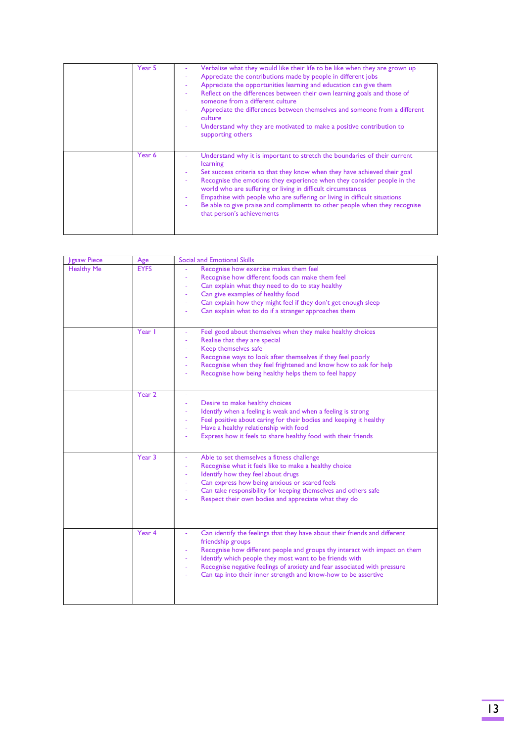| Year 5 | Verbalise what they would like their life to be like when they are grown up<br>Appreciate the contributions made by people in different jobs<br>٠<br>Appreciate the opportunities learning and education can give them<br>Reflect on the differences between their own learning goals and those of<br>someone from a different culture<br>Appreciate the differences between themselves and someone from a different<br>culture<br>Understand why they are motivated to make a positive contribution to<br>٠<br>supporting others |
|--------|-----------------------------------------------------------------------------------------------------------------------------------------------------------------------------------------------------------------------------------------------------------------------------------------------------------------------------------------------------------------------------------------------------------------------------------------------------------------------------------------------------------------------------------|
| Year 6 | Understand why it is important to stretch the boundaries of their current<br>learning<br>Set success criteria so that they know when they have achieved their goal<br>Recognise the emotions they experience when they consider people in the<br>world who are suffering or living in difficult circumstances<br>Empathise with people who are suffering or living in difficult situations<br>Be able to give praise and compliments to other people when they recognise<br>that person's achievements                            |

| ligsaw Piece      | Age         | <b>Social and Emotional Skills</b>                                                                                                                                                                                                                                                                                                                                                                |
|-------------------|-------------|---------------------------------------------------------------------------------------------------------------------------------------------------------------------------------------------------------------------------------------------------------------------------------------------------------------------------------------------------------------------------------------------------|
| <b>Healthy Me</b> | <b>EYFS</b> | Recognise how exercise makes them feel<br>Recognise how different foods can make them feel<br>Can explain what they need to do to stay healthy<br>Can give examples of healthy food<br>$\overline{\phantom{a}}$<br>Can explain how they might feel if they don't get enough sleep<br>٠<br>Can explain what to do if a stranger approaches them                                                    |
|                   | Year I      | Feel good about themselves when they make healthy choices<br>$\blacksquare$<br>Realise that they are special<br>Keep themselves safe<br>Recognise ways to look after themselves if they feel poorly<br>Recognise when they feel frightened and know how to ask for help<br>$\blacksquare$<br>Recognise how being healthy helps them to feel happy<br>۰                                            |
|                   | Year 2      | Desire to make healthy choices<br>÷,<br>Identify when a feeling is weak and when a feeling is strong<br>÷,<br>Feel positive about caring for their bodies and keeping it healthy<br>Have a healthy relationship with food<br>Express how it feels to share healthy food with their friends                                                                                                        |
|                   | Year 3      | Able to set themselves a fitness challenge<br>Recognise what it feels like to make a healthy choice<br>Identify how they feel about drugs<br>Can express how being anxious or scared feels<br>$\overline{\phantom{a}}$<br>Can take responsibility for keeping themselves and others safe<br>$\overline{\phantom{a}}$<br>Respect their own bodies and appreciate what they do                      |
|                   | Year 4      | Can identify the feelings that they have about their friends and different<br>friendship groups<br>Recognise how different people and groups thy interact with impact on them<br>Identify which people they most want to be friends with<br>Recognise negative feelings of anxiety and fear associated with pressure<br>÷,<br>Can tap into their inner strength and know-how to be assertive<br>÷ |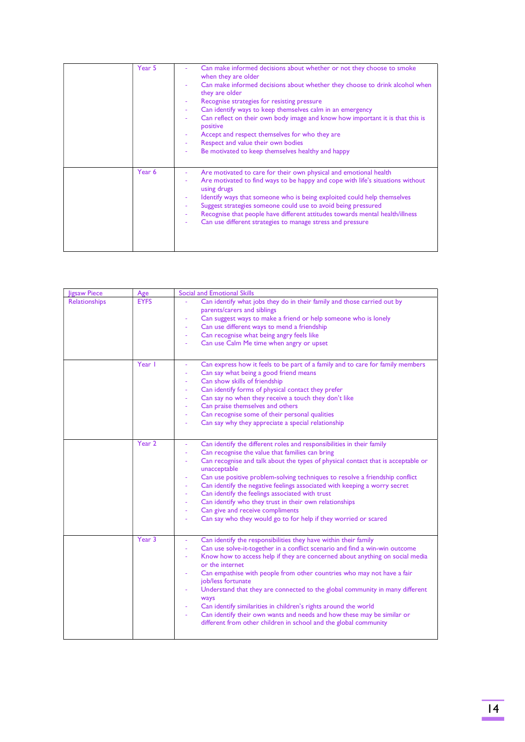| Year 5 | Can make informed decisions about whether or not they choose to smoke<br>when they are older<br>Can make informed decisions about whether they choose to drink alcohol when<br>they are older<br>Recognise strategies for resisting pressure<br>Can identify ways to keep themselves calm in an emergency<br>Can reflect on their own body image and know how important it is that this is<br>positive<br>Accept and respect themselves for who they are<br>Respect and value their own bodies<br>Be motivated to keep themselves healthy and happy |
|--------|-----------------------------------------------------------------------------------------------------------------------------------------------------------------------------------------------------------------------------------------------------------------------------------------------------------------------------------------------------------------------------------------------------------------------------------------------------------------------------------------------------------------------------------------------------|
| Year 6 | Are motivated to care for their own physical and emotional health<br>Are motivated to find ways to be happy and cope with life's situations without<br>using drugs<br>Identify ways that someone who is being exploited could help themselves<br>Suggest strategies someone could use to avoid being pressured<br>Recognise that people have different attitudes towards mental health/illness<br>Can use different strategies to manage stress and pressure                                                                                        |

| ligsaw Piece         | Age         | <b>Social and Emotional Skills</b>                                                                                                                                                                                                                                                                                                                                                                                                                                                                                                                                                                                                                                                                             |
|----------------------|-------------|----------------------------------------------------------------------------------------------------------------------------------------------------------------------------------------------------------------------------------------------------------------------------------------------------------------------------------------------------------------------------------------------------------------------------------------------------------------------------------------------------------------------------------------------------------------------------------------------------------------------------------------------------------------------------------------------------------------|
| <b>Relationships</b> | <b>EYFS</b> | Can identify what jobs they do in their family and those carried out by<br>parents/carers and siblings<br>Can suggest ways to make a friend or help someone who is lonely<br>Can use different ways to mend a friendship<br>Can recognise what being angry feels like<br>Can use Calm Me time when angry or upset<br>$\overline{\phantom{a}}$                                                                                                                                                                                                                                                                                                                                                                  |
|                      | Year I      | Can express how it feels to be part of a family and to care for family members<br>Can say what being a good friend means<br>Can show skills of friendship<br>Can identify forms of physical contact they prefer<br>Can say no when they receive a touch they don't like<br>Can praise themselves and others<br>$\overline{\phantom{a}}$<br>Can recognise some of their personal qualities<br>Can say why they appreciate a special relationship<br>٠                                                                                                                                                                                                                                                           |
|                      | Year 2      | Can identify the different roles and responsibilities in their family<br>Can recognise the value that families can bring<br>Can recognise and talk about the types of physical contact that is acceptable or<br>unacceptable<br>Can use positive problem-solving techniques to resolve a friendship conflict<br>Can identify the negative feelings associated with keeping a worry secret<br>$\overline{\phantom{a}}$<br>Can identify the feelings associated with trust<br>$\bar{\phantom{a}}$<br>Can identify who they trust in their own relationships<br>Can give and receive compliments<br>$\overline{\phantom{a}}$<br>Can say who they would go to for help if they worried or scared<br>$\blacksquare$ |
|                      | Year 3      | Can identify the responsibilities they have within their family<br>Can use solve-it-together in a conflict scenario and find a win-win outcome<br>Know how to access help if they are concerned about anything on social media<br>or the internet<br>Can empathise with people from other countries who may not have a fair<br>job/less fortunate<br>Understand that they are connected to the global community in many different<br>ways<br>Can identify similarities in children's rights around the world<br>÷,<br>Can identify their own wants and needs and how these may be similar or<br>÷<br>different from other children in school and the global community                                          |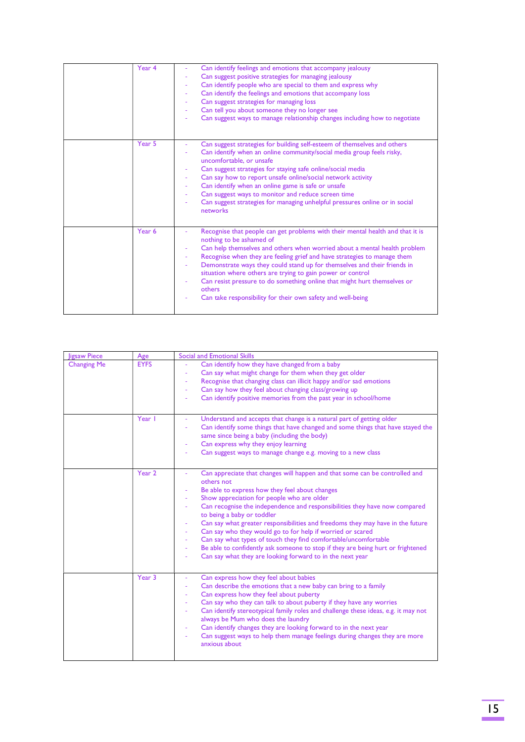| Year 4 | Can identify feelings and emotions that accompany jealousy<br>Can suggest positive strategies for managing jealousy<br>Can identify people who are special to them and express why<br>Can identify the feelings and emotions that accompany loss<br>Can suggest strategies for managing loss<br>Can tell you about someone they no longer see<br>Can suggest ways to manage relationship changes including how to negotiate                                                                                                                                        |
|--------|--------------------------------------------------------------------------------------------------------------------------------------------------------------------------------------------------------------------------------------------------------------------------------------------------------------------------------------------------------------------------------------------------------------------------------------------------------------------------------------------------------------------------------------------------------------------|
| Year 5 | Can suggest strategies for building self-esteem of themselves and others<br>Can identify when an online community/social media group feels risky,<br>uncomfortable, or unsafe<br>Can suggest strategies for staying safe online/social media<br>Can say how to report unsafe online/social network activity<br>٠<br>Can identify when an online game is safe or unsafe<br>Can suggest ways to monitor and reduce screen time<br>$\overline{\phantom{a}}$<br>Can suggest strategies for managing unhelpful pressures online or in social<br>networks                |
| Year 6 | Recognise that people can get problems with their mental health and that it is<br>nothing to be ashamed of<br>Can help themselves and others when worried about a mental health problem<br>Recognise when they are feeling grief and have strategies to manage them<br>Demonstrate ways they could stand up for themselves and their friends in<br>situation where others are trying to gain power or control<br>Can resist pressure to do something online that might hurt themselves or<br>others<br>Can take responsibility for their own safety and well-being |

| <b>Jigsaw Piece</b> | Age               | Social and Emotional Skills                                                                                                                                                                                                                                                                                                                                                                                                                                                                                                                                                                                                                                                                                                      |
|---------------------|-------------------|----------------------------------------------------------------------------------------------------------------------------------------------------------------------------------------------------------------------------------------------------------------------------------------------------------------------------------------------------------------------------------------------------------------------------------------------------------------------------------------------------------------------------------------------------------------------------------------------------------------------------------------------------------------------------------------------------------------------------------|
| <b>Changing Me</b>  | <b>EYFS</b>       | Can identify how they have changed from a baby<br>Can say what might change for them when they get older<br>Recognise that changing class can illicit happy and/or sad emotions<br>Can say how they feel about changing class/growing up<br>$\overline{\phantom{a}}$<br>Can identify positive memories from the past year in school/home                                                                                                                                                                                                                                                                                                                                                                                         |
|                     | Year I            | Understand and accepts that change is a natural part of getting older<br>Can identify some things that have changed and some things that have stayed the<br>same since being a baby (including the body)<br>Can express why they enjoy learning<br>Can suggest ways to manage change e.g. moving to a new class                                                                                                                                                                                                                                                                                                                                                                                                                  |
|                     | Year <sub>2</sub> | Can appreciate that changes will happen and that some can be controlled and<br>others not<br>Be able to express how they feel about changes<br>Show appreciation for people who are older<br>Can recognise the independence and responsibilities they have now compared<br>to being a baby or toddler<br>Can say what greater responsibilities and freedoms they may have in the future<br>Can say who they would go to for help if worried or scared<br>Can say what types of touch they find comfortable/uncomfortable<br>Be able to confidently ask someone to stop if they are being hurt or frightened<br>$\overline{\phantom{a}}$<br>Can say what they are looking forward to in the next year<br>$\overline{\phantom{a}}$ |
|                     | Year 3            | Can express how they feel about babies<br>Can describe the emotions that a new baby can bring to a family<br>Can express how they feel about puberty<br>$\overline{\phantom{a}}$<br>Can say who they can talk to about puberty if they have any worries<br>$\overline{\phantom{a}}$<br>Can identify stereotypical family roles and challenge these ideas, e.g. it may not<br>$\overline{\phantom{a}}$<br>always be Mum who does the laundry<br>Can identify changes they are looking forward to in the next year<br>$\overline{\phantom{a}}$<br>Can suggest ways to help them manage feelings during changes they are more<br>$\blacksquare$<br>anxious about                                                                    |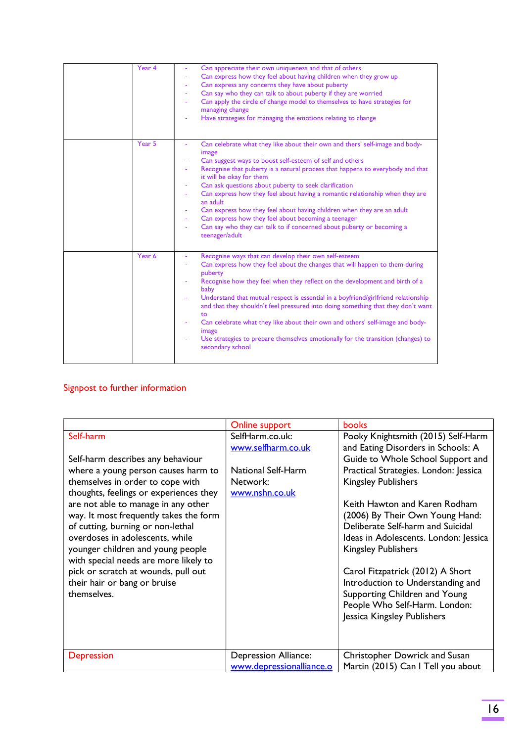| Year 4 | Can appreciate their own uniqueness and that of others<br>Can express how they feel about having children when they grow up<br>Can express any concerns they have about puberty<br>Can say who they can talk to about puberty if they are worried<br>Can apply the circle of change model to themselves to have strategies for<br>managing change<br>Have strategies for managing the emotions relating to change                                                                                                                                                                                                                                |
|--------|--------------------------------------------------------------------------------------------------------------------------------------------------------------------------------------------------------------------------------------------------------------------------------------------------------------------------------------------------------------------------------------------------------------------------------------------------------------------------------------------------------------------------------------------------------------------------------------------------------------------------------------------------|
| Year 5 | Can celebrate what they like about their own and thers' self-image and body-<br>image<br>Can suggest ways to boost self-esteem of self and others<br>Recognise that puberty is a natural process that happens to everybody and that<br>it will be okay for them<br>Can ask questions about puberty to seek clarification<br>Can express how they feel about having a romantic relationship when they are<br>an adult<br>Can express how they feel about having children when they are an adult<br>Can express how they feel about becoming a teenager<br>Can say who they can talk to if concerned about puberty or becoming a<br>teenager/adult |
| Year 6 | Recognise ways that can develop their own self-esteem<br>Can express how they feel about the changes that will happen to them during<br>puberty<br>Recognise how they feel when they reflect on the development and birth of a<br>baby<br>Understand that mutual respect is essential in a boyfriend/girlfriend relationship<br>and that they shouldn't feel pressured into doing something that they don't want<br>to<br>Can celebrate what they like about their own and others' self-image and body-<br>image<br>Use strategies to prepare themselves emotionally for the transition (changes) to<br>secondary school                         |

# Signpost to further information

|                                        | Online support              | books                                 |
|----------------------------------------|-----------------------------|---------------------------------------|
| Self-harm                              | SelfHarm.co.uk:             | Pooky Knightsmith (2015) Self-Harm    |
|                                        | www.selfharm.co.uk          | and Eating Disorders in Schools: A    |
| Self-harm describes any behaviour      |                             | Guide to Whole School Support and     |
| where a young person causes harm to    | <b>National Self-Harm</b>   | Practical Strategies. London: Jessica |
| themselves in order to cope with       | Network:                    | <b>Kingsley Publishers</b>            |
| thoughts, feelings or experiences they | www.nshn.co.uk              |                                       |
| are not able to manage in any other    |                             | Keith Hawton and Karen Rodham         |
| way. It most frequently takes the form |                             | (2006) By Their Own Young Hand:       |
| of cutting, burning or non-lethal      |                             | Deliberate Self-harm and Suicidal     |
| overdoses in adolescents, while        |                             | Ideas in Adolescents. London: Jessica |
| younger children and young people      |                             | <b>Kingsley Publishers</b>            |
| with special needs are more likely to  |                             |                                       |
| pick or scratch at wounds, pull out    |                             | Carol Fitzpatrick (2012) A Short      |
| their hair or bang or bruise           |                             | Introduction to Understanding and     |
| themselves.                            |                             | Supporting Children and Young         |
|                                        |                             | People Who Self-Harm. London:         |
|                                        |                             | Jessica Kingsley Publishers           |
|                                        |                             |                                       |
|                                        |                             |                                       |
|                                        |                             |                                       |
| Depression                             | <b>Depression Alliance:</b> | Christopher Dowrick and Susan         |
|                                        | www.depressionalliance.o    | Martin (2015) Can I Tell you about    |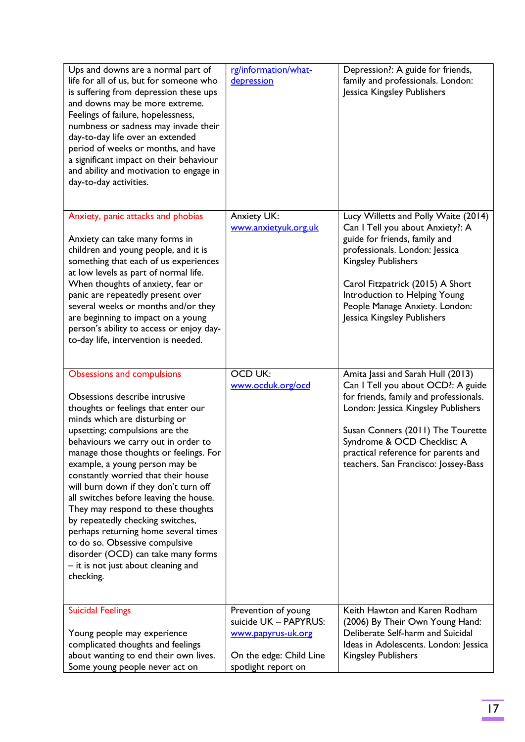| Ups and downs are a normal part of<br>life for all of us, but for someone who<br>is suffering from depression these ups<br>and downs may be more extreme.<br>Feelings of failure, hopelessness,<br>numbness or sadness may invade their<br>day-to-day life over an extended<br>period of weeks or months, and have<br>a significant impact on their behaviour<br>and ability and motivation to engage in<br>day-to-day activities.                                                                                                                                                                                                                                      | rg/information/what-<br>depression                                                                                   | Depression?: A guide for friends,<br>family and professionals. London:<br>Jessica Kingsley Publishers                                                                                                                                                                                                           |
|-------------------------------------------------------------------------------------------------------------------------------------------------------------------------------------------------------------------------------------------------------------------------------------------------------------------------------------------------------------------------------------------------------------------------------------------------------------------------------------------------------------------------------------------------------------------------------------------------------------------------------------------------------------------------|----------------------------------------------------------------------------------------------------------------------|-----------------------------------------------------------------------------------------------------------------------------------------------------------------------------------------------------------------------------------------------------------------------------------------------------------------|
| Anxiety, panic attacks and phobias<br>Anxiety can take many forms in<br>children and young people, and it is<br>something that each of us experiences<br>at low levels as part of normal life.<br>When thoughts of anxiety, fear or<br>panic are repeatedly present over<br>several weeks or months and/or they<br>are beginning to impact on a young<br>person's ability to access or enjoy day-<br>to-day life, intervention is needed.                                                                                                                                                                                                                               | <b>Anxiety UK:</b><br>www.anxietyuk.org.uk                                                                           | Lucy Willetts and Polly Waite (2014)<br>Can I Tell you about Anxiety?: A<br>guide for friends, family and<br>professionals. London: Jessica<br><b>Kingsley Publishers</b><br>Carol Fitzpatrick (2015) A Short<br>Introduction to Helping Young<br>People Manage Anxiety. London:<br>Jessica Kingsley Publishers |
| <b>Obsessions and compulsions</b><br>Obsessions describe intrusive<br>thoughts or feelings that enter our<br>minds which are disturbing or<br>upsetting; compulsions are the<br>behaviours we carry out in order to<br>manage those thoughts or feelings. For<br>example, a young person may be<br>constantly worried that their house<br>will burn down if they don't turn off<br>all switches before leaving the house.<br>They may respond to these thoughts<br>by repeatedly checking switches,<br>perhaps returning home several times<br>to do so. Obsessive compulsive<br>disorder (OCD) can take many forms<br>- it is not just about cleaning and<br>checking. | <b>OCD UK:</b><br>www.ocduk.org/ocd                                                                                  | Amita Jassi and Sarah Hull (2013)<br>Can I Tell you about OCD?: A guide<br>for friends, family and professionals.<br>London: Jessica Kingsley Publishers<br>Susan Conners (2011) The Tourette<br>Syndrome & OCD Checklist: A<br>practical reference for parents and<br>teachers. San Francisco: Jossey-Bass     |
| <b>Suicidal Feelings</b><br>Young people may experience<br>complicated thoughts and feelings<br>about wanting to end their own lives.<br>Some young people never act on                                                                                                                                                                                                                                                                                                                                                                                                                                                                                                 | Prevention of young<br>suicide UK - PAPYRUS:<br>www.papyrus-uk.org<br>On the edge: Child Line<br>spotlight report on | Keith Hawton and Karen Rodham<br>(2006) By Their Own Young Hand:<br>Deliberate Self-harm and Suicidal<br>Ideas in Adolescents. London: Jessica<br><b>Kingsley Publishers</b>                                                                                                                                    |